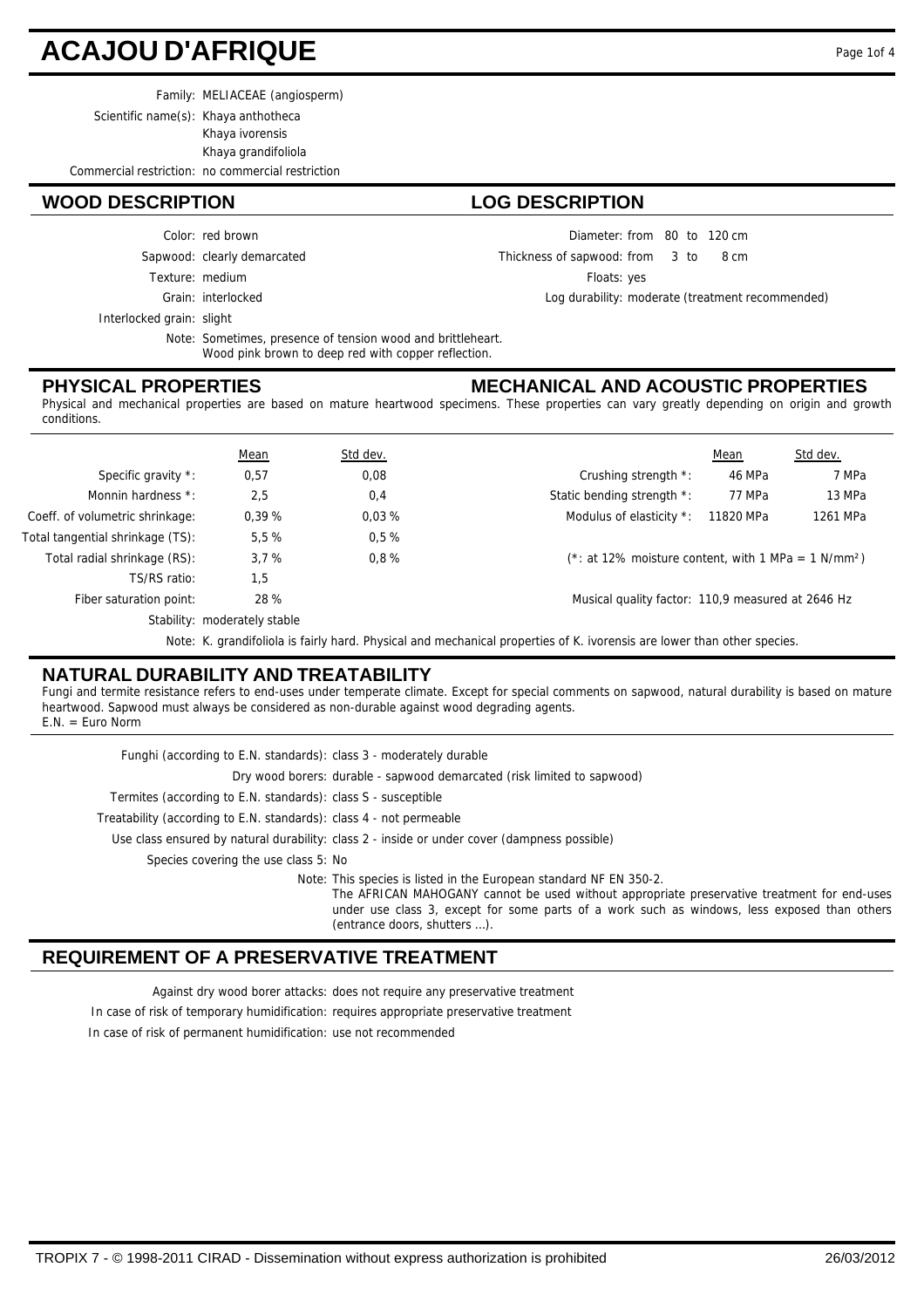# **ACAJOU D'AFRIQUE**

Family: MELIACEAE (angiosperm)

Scientific name(s): Khaya anthotheca

Khaya ivorensis Khaya grandifoliola

Commercial restriction: no commercial restriction

#### **WOOD DESCRIPTION LOG DESCRIPTION**

Color: red brown

Sapwood: clearly demarcated

Texture: medium

Grain: interlocked

Interlocked grain: slight

Note: Sometimes, presence of tension wood and brittleheart. Wood pink brown to deep red with copper reflection.

#### **PHYSICAL PROPERTIES**

Diameter: from 80 to 120 cm

 $from 3 to 8 cm$ Thickness of sapwood:

Floats: yes

Log durability: moderate (treatment recommended)

**MECHANICAL AND ACOUSTIC PROPERTIES**

Physical and mechanical properties are based on mature heartwood specimens. These properties can vary greatly depending on origin and growth conditions.

|                                  | Mean                         | Std dev. |                                                                                                                             | Mean      | Std dev. |
|----------------------------------|------------------------------|----------|-----------------------------------------------------------------------------------------------------------------------------|-----------|----------|
| Specific gravity *:              | 0,57                         | 0,08     | Crushing strength *:                                                                                                        | 46 MPa    | 7 MPa    |
| Monnin hardness *:               | 2,5                          | 0,4      | Static bending strength *:                                                                                                  | 77 MPa    | 13 MPa   |
| Coeff. of volumetric shrinkage:  | 0.39%                        | 0.03%    | Modulus of elasticity *:                                                                                                    | 11820 MPa | 1261 MPa |
| Total tangential shrinkage (TS): | 5,5%                         | 0.5%     |                                                                                                                             |           |          |
| Total radial shrinkage (RS):     | 3.7%                         | 0.8%     | $(*: at 12\%$ moisture content, with 1 MPa = 1 N/mm <sup>2</sup> )                                                          |           |          |
| TS/RS ratio:                     | 1,5                          |          |                                                                                                                             |           |          |
| Fiber saturation point:          | 28 %                         |          | Musical quality factor: 110,9 measured at 2646 Hz                                                                           |           |          |
|                                  | Stability: moderately stable |          |                                                                                                                             |           |          |
|                                  |                              |          | March 17, and alterials to establish and interest and moderative controlled of 17. Sciencests and territorials on an extern |           |          |

Note: K. grandifoliola is fairly hard. Physical and mechanical properties of K. ivorensis are lower than other species.

## **NATURAL DURABILITY AND TREATABILITY**

Fungi and termite resistance refers to end-uses under temperate climate. Except for special comments on sapwood, natural durability is based on mature heartwood. Sapwood must always be considered as non-durable against wood degrading agents. E.N. = Euro Norm

Use class ensured by natural durability: class 2 - inside or under cover (dampness possible) Treatability (according to E.N. standards): class 4 - not permeable Termites (according to E.N. standards): class S - susceptible Dry wood borers: durable - sapwood demarcated (risk limited to sapwood) Funghi (according to E.N. standards): class 3 - moderately durable Species covering the use class 5: No Note: This species is listed in the European standard NF EN 350-2. The AFRICAN MAHOGANY cannot be used without appropriate preservative treatment for end-uses under use class 3, except for some parts of a work such as windows, less exposed than others (entrance doors, shutters …).

## **REQUIREMENT OF A PRESERVATIVE TREATMENT**

Against dry wood borer attacks: does not require any preservative treatment

In case of risk of temporary humidification: requires appropriate preservative treatment

In case of risk of permanent humidification: use not recommended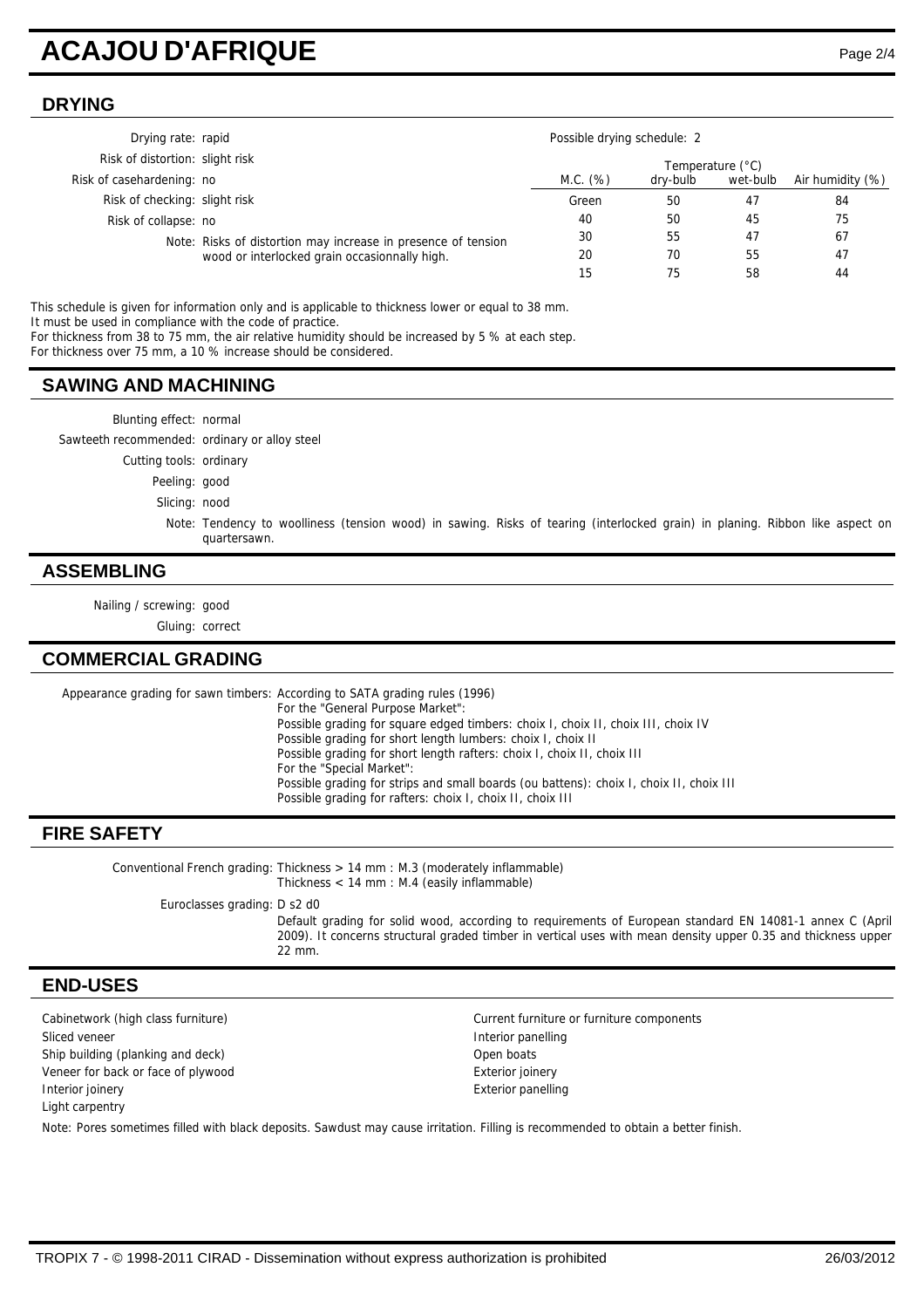# **ACAJOU D'AFRIQUE** Page 2/4

# **DRYING**

| Drying rate: rapid              |                                                                                                                | Possible drying schedule: 2 |          |          |                  |
|---------------------------------|----------------------------------------------------------------------------------------------------------------|-----------------------------|----------|----------|------------------|
| Risk of distortion: slight risk |                                                                                                                | Temperature (°C)            |          |          |                  |
| Risk of casehardening: no       |                                                                                                                | M.C. (%)                    | dry-bulb | wet-bulb | Air humidity (%) |
| Risk of checking: slight risk   |                                                                                                                | Green                       | 50       | 47       | 84               |
| Risk of collapse: no            |                                                                                                                | 40                          | 50       | 45       | 75               |
|                                 | Note: Risks of distortion may increase in presence of tension<br>wood or interlocked grain occasionnally high. | 30                          | 55       | 47       | 67               |
|                                 |                                                                                                                | 20                          | 70       | 55       | 47               |
|                                 |                                                                                                                | 15                          | 75       | 58       | 44               |

This schedule is given for information only and is applicable to thickness lower or equal to 38 mm. It must be used in compliance with the code of practice.

For thickness from 38 to 75 mm, the air relative humidity should be increased by 5 % at each step.

For thickness over 75 mm, a 10 % increase should be considered.

#### **SAWING AND MACHINING**

Blunting effect: normal Sawteeth recommended: ordinary or alloy steel Cutting tools: ordinary Peeling: good Slicing: nood Note: Tendency to woolliness (tension wood) in sawing. Risks of tearing (interlocked grain) in planing. Ribbon like aspect on quartersawn.

### **ASSEMBLING**

Nailing / screwing: good

Gluing: correct

### **COMMERCIAL GRADING**

Appearance grading for sawn timbers: According to SATA grading rules (1996) For the "General Purpose Market": Possible grading for square edged timbers: choix I, choix II, choix III, choix IV Possible grading for short length lumbers: choix I, choix II Possible grading for short length rafters: choix I, choix II, choix III For the "Special Market": Possible grading for strips and small boards (ou battens): choix I, choix II, choix III Possible grading for rafters: choix I, choix II, choix III

## **FIRE SAFETY**

Conventional French grading: Thickness  $> 14$  mm : M.3 (moderately inflammable) Thickness < 14 mm : M.4 (easily inflammable)

Euroclasses grading: D s2 d0

Default grading for solid wood, according to requirements of European standard EN 14081-1 annex C (April 2009). It concerns structural graded timber in vertical uses with mean density upper 0.35 and thickness upper 22 mm.

### **END-USES**

Cabinetwork (high class furniture) Current furniture or furniture components Sliced veneer **Interior panelling** is a state of the state of the Interior panelling Ship building (planking and deck) Communication of the Communication of the Communication of the Communication of the Communication of the Communication of the Communication of the Communication of the Communication of the Veneer for back or face of plywood exterior is exterior joinery **Interior joinery Exterior panelling** Light carpentry

Note: Pores sometimes filled with black deposits. Sawdust may cause irritation. Filling is recommended to obtain a better finish.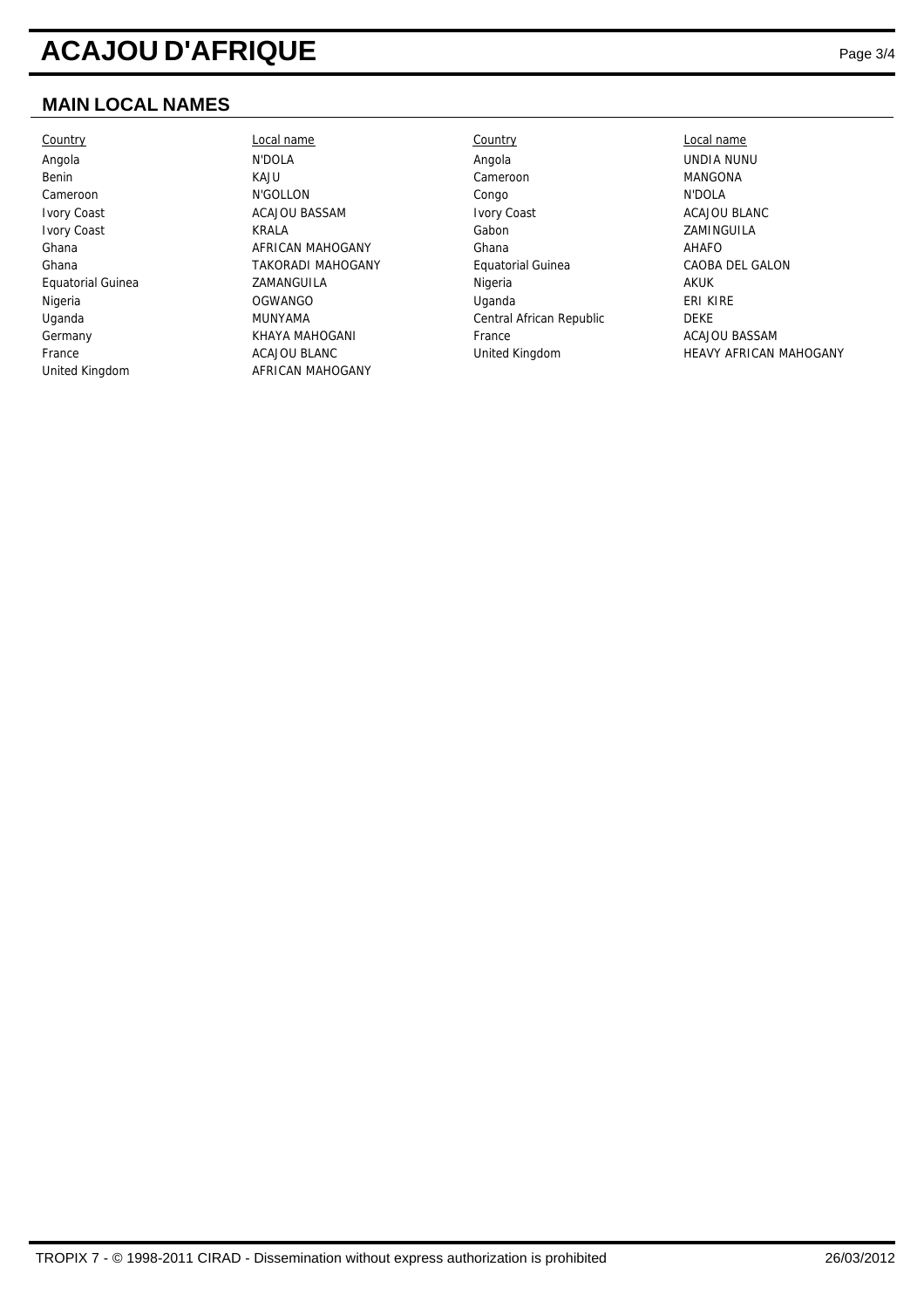# **ACAJOU D'AFRIQUE** Page 3/4

# **MAIN LOCAL NAMES**

Country Local name Country Local name United Kingdom **AFRICAN MAHOGANY** 

Angola N'DOLA Angola UNDIA NUNU Benin KAJU Cameroon MANGONA Cameroon N'GOLLON Congo N'DOLA Ivory Coast ACAJOU BASSAM Ivory Coast ACAJOU BLANC **Ivory Coast Cast Community Coast REALA** Cabon Cabon Camera Caming Caming Caming Caming Caming Captain Captain Caming Captain Caming Captain Caming Captain Captain Captain Captain Captain Captain Captain Captain Captain Ca Ghana **AFRICAN MAHOGANY** Ghana Ghana AHAFO Ghana TAKORADI MAHOGANY Equatorial Guinea CAOBA DEL GALON Equatorial Guinea **CAMANGUILA** CHARANGUILA Nigeria **Nigeria** AKUK Nigeria OGWANGO Uganda ERI KIRE Uganda MUNYAMA Central African Republic DEKE Germany **Example 20 Sermany REAL ACAJOU BASSAM** France **CONSESSES EXAMPLE ACAJOU BASSAM** 

France **ACAJOU BLANC** United Kingdom HEAVY AFRICAN MAHOGANY